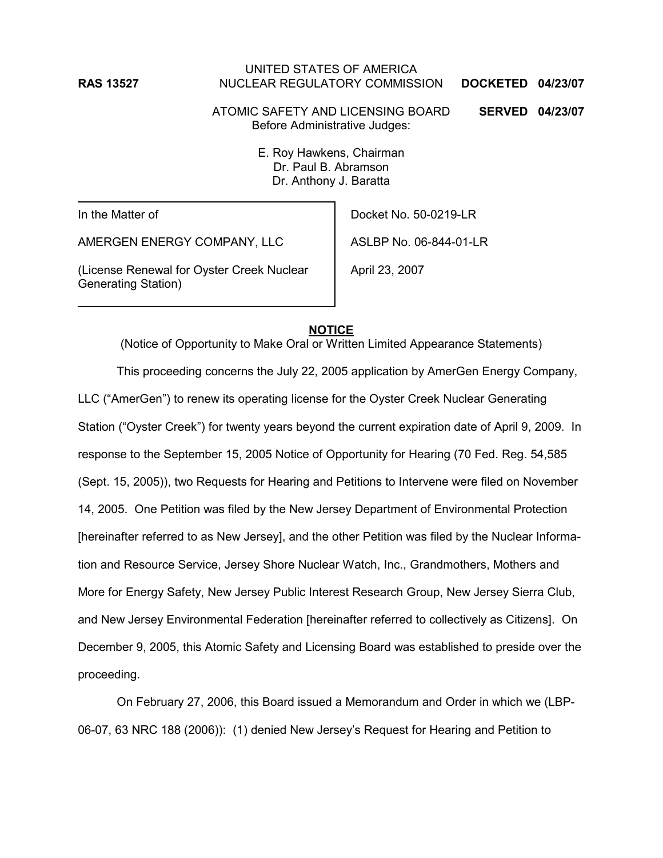## UNITED STATES OF AMERICA **RAS 13527** NUCLEAR REGULATORY COMMISSION **DOCKETED 04/23/07**

ATOMIC SAFETY AND LICENSING BOARD **SERVED 04/23/07** Before Administrative Judges:

> E. Roy Hawkens, Chairman Dr. Paul B. Abramson Dr. Anthony J. Baratta

In the Matter of

AMERGEN ENERGY COMPANY, LLC

(License Renewal for Oyster Creek Nuclear Generating Station)

Docket No. 50-0219-LR

ASLBP No. 06-844-01-LR

April 23, 2007

## **NOTICE**

(Notice of Opportunity to Make Oral or Written Limited Appearance Statements) This proceeding concerns the July 22, 2005 application by AmerGen Energy Company, LLC ("AmerGen") to renew its operating license for the Oyster Creek Nuclear Generating Station ("Oyster Creek") for twenty years beyond the current expiration date of April 9, 2009. In response to the September 15, 2005 Notice of Opportunity for Hearing (70 Fed. Reg. 54,585 (Sept. 15, 2005)), two Requests for Hearing and Petitions to Intervene were filed on November 14, 2005. One Petition was filed by the New Jersey Department of Environmental Protection [hereinafter referred to as New Jersey], and the other Petition was filed by the Nuclear Information and Resource Service, Jersey Shore Nuclear Watch, Inc., Grandmothers, Mothers and More for Energy Safety, New Jersey Public Interest Research Group, New Jersey Sierra Club, and New Jersey Environmental Federation [hereinafter referred to collectively as Citizens]. On December 9, 2005, this Atomic Safety and Licensing Board was established to preside over the proceeding.

On February 27, 2006, this Board issued a Memorandum and Order in which we (LBP-06-07, 63 NRC 188 (2006)): (1) denied New Jersey's Request for Hearing and Petition to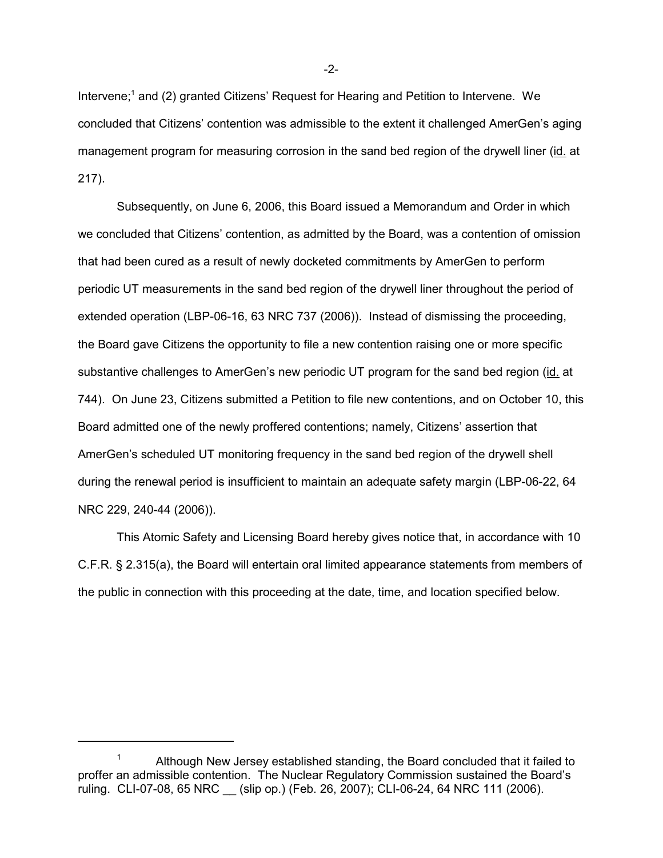Intervene;<sup>1</sup> and (2) granted Citizens' Request for Hearing and Petition to Intervene. We concluded that Citizens' contention was admissible to the extent it challenged AmerGen's aging management program for measuring corrosion in the sand bed region of the drywell liner (id. at 217).

Subsequently, on June 6, 2006, this Board issued a Memorandum and Order in which we concluded that Citizens' contention, as admitted by the Board, was a contention of omission that had been cured as a result of newly docketed commitments by AmerGen to perform periodic UT measurements in the sand bed region of the drywell liner throughout the period of extended operation (LBP-06-16, 63 NRC 737 (2006)). Instead of dismissing the proceeding, the Board gave Citizens the opportunity to file a new contention raising one or more specific substantive challenges to AmerGen's new periodic UT program for the sand bed region (id. at 744). On June 23, Citizens submitted a Petition to file new contentions, and on October 10, this Board admitted one of the newly proffered contentions; namely, Citizens' assertion that AmerGen's scheduled UT monitoring frequency in the sand bed region of the drywell shell during the renewal period is insufficient to maintain an adequate safety margin (LBP-06-22, 64 NRC 229, 240-44 (2006)).

This Atomic Safety and Licensing Board hereby gives notice that, in accordance with 10 C.F.R. § 2.315(a), the Board will entertain oral limited appearance statements from members of the public in connection with this proceeding at the date, time, and location specified below.

-2-

<sup>&</sup>lt;sup>1</sup> Although New Jersey established standing, the Board concluded that it failed to proffer an admissible contention. The Nuclear Regulatory Commission sustained the Board's ruling. CLI-07-08, 65 NRC \_\_ (slip op.) (Feb. 26, 2007); CLI-06-24, 64 NRC 111 (2006).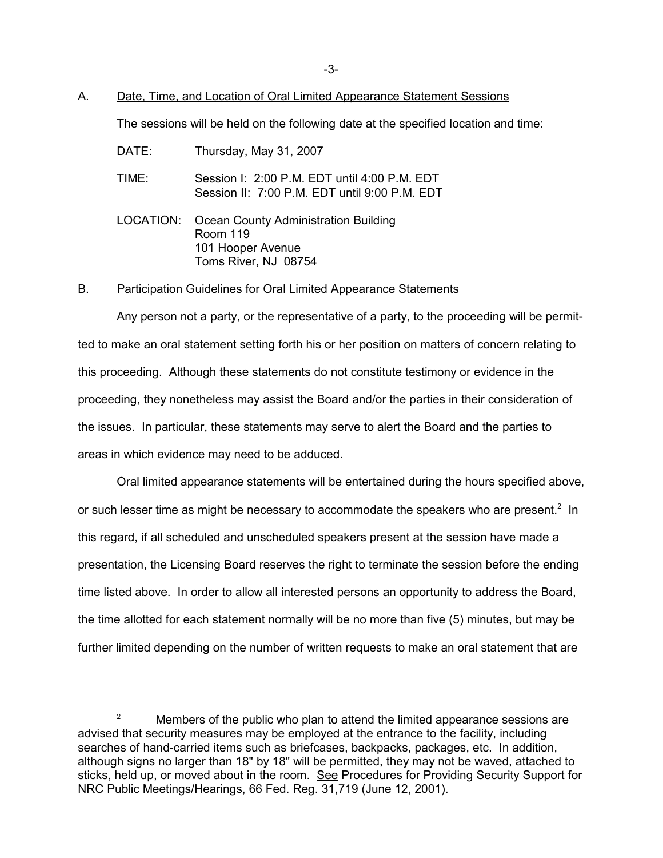## A. Date, Time, and Location of Oral Limited Appearance Statement Sessions

The sessions will be held on the following date at the specified location and time:

DATE: Thursday, May 31, 2007

TIME: Session I: 2:00 P.M. EDT until 4:00 P.M. EDT Session II: 7:00 P.M. EDT until 9:00 P.M. EDT

LOCATION: Ocean County Administration Building Room 119 101 Hooper Avenue Toms River, NJ 08754

#### B. Participation Guidelines for Oral Limited Appearance Statements

Any person not a party, or the representative of a party, to the proceeding will be permitted to make an oral statement setting forth his or her position on matters of concern relating to this proceeding. Although these statements do not constitute testimony or evidence in the proceeding, they nonetheless may assist the Board and/or the parties in their consideration of the issues. In particular, these statements may serve to alert the Board and the parties to areas in which evidence may need to be adduced.

Oral limited appearance statements will be entertained during the hours specified above, or such lesser time as might be necessary to accommodate the speakers who are present.<sup>2</sup> In this regard, if all scheduled and unscheduled speakers present at the session have made a presentation, the Licensing Board reserves the right to terminate the session before the ending time listed above. In order to allow all interested persons an opportunity to address the Board, the time allotted for each statement normally will be no more than five (5) minutes, but may be further limited depending on the number of written requests to make an oral statement that are

<sup>&</sup>lt;sup>2</sup> Members of the public who plan to attend the limited appearance sessions are advised that security measures may be employed at the entrance to the facility, including searches of hand-carried items such as briefcases, backpacks, packages, etc. In addition, although signs no larger than 18" by 18" will be permitted, they may not be waved, attached to sticks, held up, or moved about in the room. See Procedures for Providing Security Support for NRC Public Meetings/Hearings, 66 Fed. Reg. 31,719 (June 12, 2001).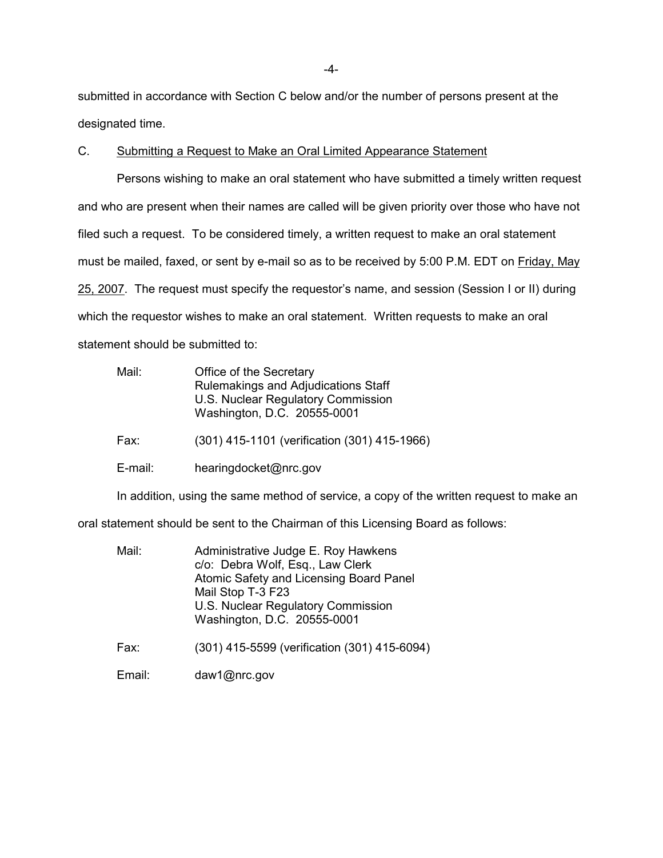submitted in accordance with Section C below and/or the number of persons present at the designated time.

C. Submitting a Request to Make an Oral Limited Appearance Statement

Persons wishing to make an oral statement who have submitted a timely written request and who are present when their names are called will be given priority over those who have not filed such a request. To be considered timely, a written request to make an oral statement must be mailed, faxed, or sent by e-mail so as to be received by 5:00 P.M. EDT on Friday, May 25, 2007. The request must specify the requestor's name, and session (Session I or II) during which the requestor wishes to make an oral statement. Written requests to make an oral statement should be submitted to:

| Mail: | Office of the Secretary             |
|-------|-------------------------------------|
|       | Rulemakings and Adjudications Staff |
|       | U.S. Nuclear Regulatory Commission  |
|       | Washington, D.C. 20555-0001         |
|       |                                     |

Fax: (301) 415-1101 (verification (301) 415-1966)

E-mail: hearingdocket@nrc.gov

In addition, using the same method of service, a copy of the written request to make an

oral statement should be sent to the Chairman of this Licensing Board as follows:

| Mail: | Administrative Judge E. Roy Hawkens     |
|-------|-----------------------------------------|
|       | c/o: Debra Wolf, Esq., Law Clerk        |
|       | Atomic Safety and Licensing Board Panel |
|       | Mail Stop T-3 F23                       |
|       | U.S. Nuclear Regulatory Commission      |
|       | Washington, D.C. 20555-0001             |
|       |                                         |

Fax: (301) 415-5599 (verification (301) 415-6094)

Email: daw1@nrc.gov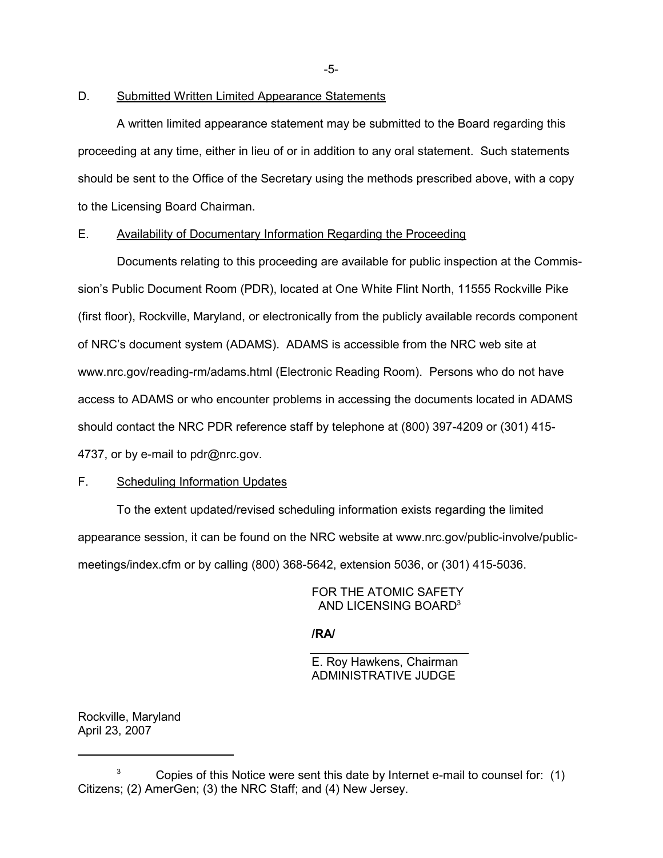-5-

## D. Submitted Written Limited Appearance Statements

A written limited appearance statement may be submitted to the Board regarding this proceeding at any time, either in lieu of or in addition to any oral statement. Such statements should be sent to the Office of the Secretary using the methods prescribed above, with a copy to the Licensing Board Chairman.

## E. Availability of Documentary Information Regarding the Proceeding

Documents relating to this proceeding are available for public inspection at the Commission's Public Document Room (PDR), located at One White Flint North, 11555 Rockville Pike (first floor), Rockville, Maryland, or electronically from the publicly available records component of NRC's document system (ADAMS). ADAMS is accessible from the NRC web site at www.nrc.gov/reading-rm/adams.html (Electronic Reading Room). Persons who do not have access to ADAMS or who encounter problems in accessing the documents located in ADAMS should contact the NRC PDR reference staff by telephone at (800) 397-4209 or (301) 415- 4737, or by e-mail to pdr@nrc.gov.

## F. Scheduling Information Updates

To the extent updated/revised scheduling information exists regarding the limited appearance session, it can be found on the NRC website at www.nrc.gov/public-involve/publicmeetings/index.cfm or by calling (800) 368-5642, extension 5036, or (301) 415-5036.

## FOR THE ATOMIC SAFETY AND LICENSING BOARD3

## **/RA/**

E. Roy Hawkens, Chairman ADMINISTRATIVE JUDGE

Rockville, Maryland April 23, 2007

 $3$  Copies of this Notice were sent this date by Internet e-mail to counsel for: (1) Citizens; (2) AmerGen; (3) the NRC Staff; and (4) New Jersey.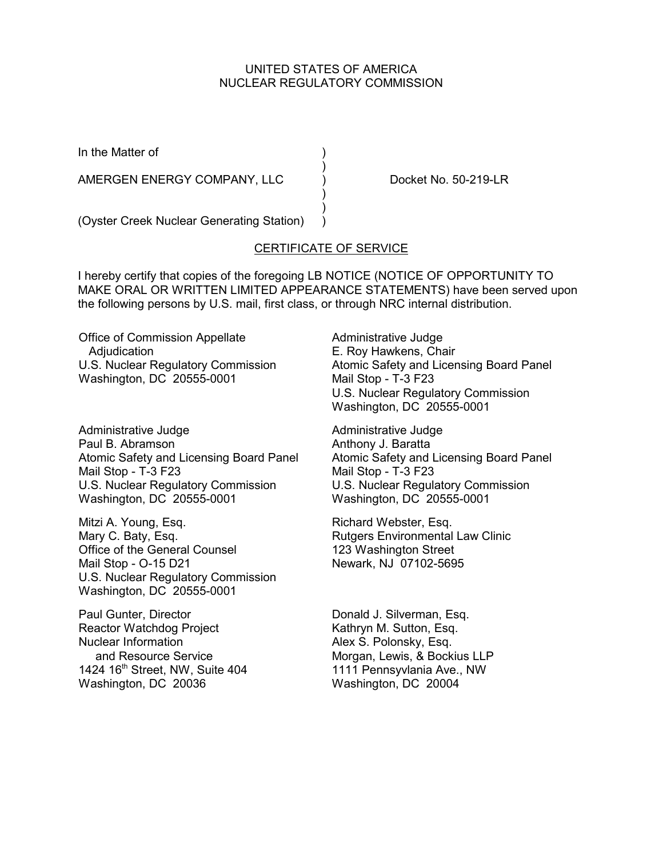## UNITED STATES OF AMERICA NUCLEAR REGULATORY COMMISSION

In the Matter of (1)

AMERGEN ENERGY COMPANY, LLC (a) Docket No. 50-219-LR

(Oyster Creek Nuclear Generating Station) )

# CERTIFICATE OF SERVICE

)

 ) )

I hereby certify that copies of the foregoing LB NOTICE (NOTICE OF OPPORTUNITY TO MAKE ORAL OR WRITTEN LIMITED APPEARANCE STATEMENTS) have been served upon the following persons by U.S. mail, first class, or through NRC internal distribution.

Office of Commission Appellate Adjudication U.S. Nuclear Regulatory Commission Washington, DC 20555-0001

Administrative Judge Paul B. Abramson Atomic Safety and Licensing Board Panel Mail Stop - T-3 F23 U.S. Nuclear Regulatory Commission Washington, DC 20555-0001

Mitzi A. Young, Esq. Mary C. Baty, Esq. Office of the General Counsel Mail Stop - O-15 D21 U.S. Nuclear Regulatory Commission Washington, DC 20555-0001

Paul Gunter, Director Reactor Watchdog Project Nuclear Information and Resource Service 1424 16<sup>th</sup> Street, NW, Suite 404 Washington, DC 20036

Administrative Judge E. Roy Hawkens, Chair Atomic Safety and Licensing Board Panel Mail Stop - T-3 F23 U.S. Nuclear Regulatory Commission Washington, DC 20555-0001

Administrative Judge Anthony J. Baratta Atomic Safety and Licensing Board Panel Mail Stop - T-3 F23 U.S. Nuclear Regulatory Commission Washington, DC 20555-0001

Richard Webster, Esq. Rutgers Environmental Law Clinic 123 Washington Street Newark, NJ 07102-5695

Donald J. Silverman, Esq. Kathryn M. Sutton, Esq. Alex S. Polonsky, Esq. Morgan, Lewis, & Bockius LLP 1111 Pennsyvlania Ave., NW Washington, DC 20004